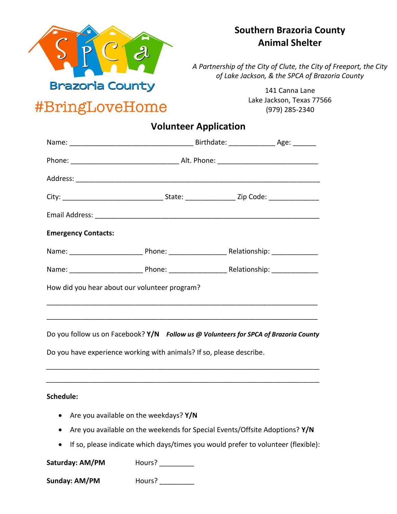

## **Southern Brazoria County Animal Shelter**

*A Partnership of the City of Clute, the City of Freeport, the City of Lake Jackson, & the SPCA of Brazoria County*

#BringLoveHome

141 Canna Lane Lake Jackson, Texas 77566 (979) 285-2340

## **Volunteer Application**

| <b>Emergency Contacts:</b>                                                           |  |  |  |  |
|--------------------------------------------------------------------------------------|--|--|--|--|
|                                                                                      |  |  |  |  |
|                                                                                      |  |  |  |  |
| How did you hear about our volunteer program?                                        |  |  |  |  |
|                                                                                      |  |  |  |  |
| Do you follow us on Facebook? Y/N Follow us @ Volunteers for SPCA of Brazoria County |  |  |  |  |
| Do you have experience working with animals? If so, please describe.                 |  |  |  |  |
|                                                                                      |  |  |  |  |
| Schedule:                                                                            |  |  |  |  |
| • Are you available on the weekdays? Y/N                                             |  |  |  |  |

- Are you available on the weekends for Special Events/Offsite Adoptions? **Y/N**
- If so, please indicate which days/times you would prefer to volunteer (flexible):

Saturday: AM/PM Hours? \_\_\_\_\_\_\_\_\_

**Sunday: AM/PM** Hours? \_\_\_\_\_\_\_\_\_\_